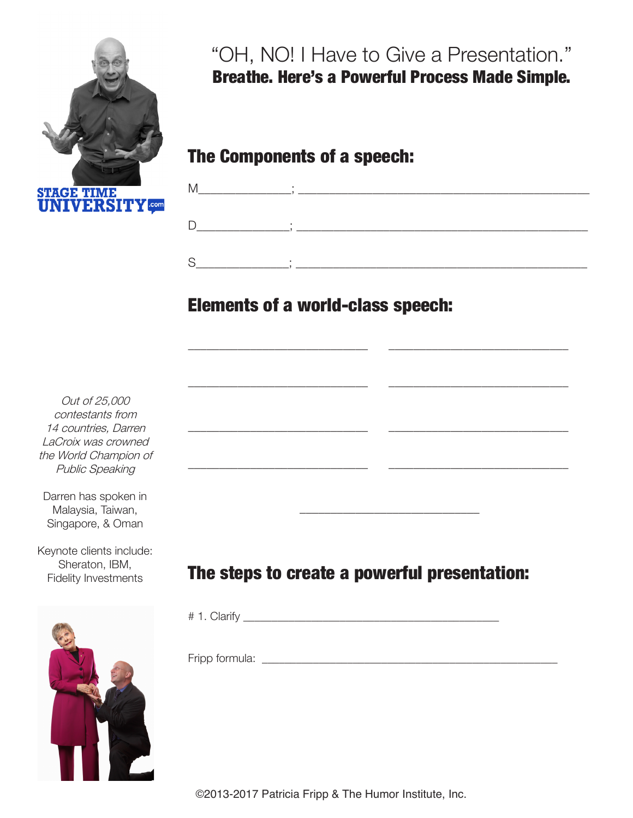

"OH, NO! I Have to Give a Presentation." Breathe. Here's a Powerful Process Made Simple.

The Components of a speech:



\_\_\_\_\_\_\_\_\_\_\_\_\_\_\_\_\_\_\_\_\_\_\_\_\_\_\_\_\_ \_\_\_\_\_\_\_\_\_\_\_\_\_\_\_\_\_\_\_\_\_\_\_\_\_\_\_\_\_

\_\_\_\_\_\_\_\_\_\_\_\_\_\_\_\_\_\_\_\_\_\_\_\_\_\_\_\_\_ \_\_\_\_\_\_\_\_\_\_\_\_\_\_\_\_\_\_\_\_\_\_\_\_\_\_\_\_\_

\_\_\_\_\_\_\_\_\_\_\_\_\_\_\_\_\_\_\_\_\_\_\_\_\_\_\_\_\_ \_\_\_\_\_\_\_\_\_\_\_\_\_\_\_\_\_\_\_\_\_\_\_\_\_\_\_\_\_

\_\_\_\_\_\_\_\_\_\_\_\_\_\_\_\_\_\_\_\_\_\_\_\_\_\_\_\_\_ \_\_\_\_\_\_\_\_\_\_\_\_\_\_\_\_\_\_\_\_\_\_\_\_\_\_\_\_\_

## Elements of a world-class speech:

Out of 25,000 contestants from 14 countries, Darren LaCroix was crowned the World Champion of Public Speaking

Darren has spoken in Malaysia, Taiwan, Singapore, & Oman

Keynote clients include: Sheraton, IBM, Fidelity Investments



## The steps to create a powerful presentation:

# 1. Clarify \_\_\_\_\_\_\_\_\_\_\_\_\_\_\_\_\_\_\_\_\_\_\_\_\_\_\_\_\_\_\_\_\_\_\_\_\_\_\_\_\_\_\_\_\_

 $\frac{1}{2}$  ,  $\frac{1}{2}$  ,  $\frac{1}{2}$  ,  $\frac{1}{2}$  ,  $\frac{1}{2}$  ,  $\frac{1}{2}$  ,  $\frac{1}{2}$  ,  $\frac{1}{2}$  ,  $\frac{1}{2}$  ,  $\frac{1}{2}$  ,  $\frac{1}{2}$  ,  $\frac{1}{2}$  ,  $\frac{1}{2}$  ,  $\frac{1}{2}$  ,  $\frac{1}{2}$  ,  $\frac{1}{2}$  ,  $\frac{1}{2}$  ,  $\frac{1}{2}$  ,  $\frac{1$ 

Fripp formula: \_\_\_\_\_\_\_\_\_\_\_\_\_\_\_\_\_\_\_\_\_\_\_\_\_\_\_\_\_\_\_\_\_\_\_\_\_\_\_\_\_\_\_\_\_\_\_\_\_\_\_\_

©2013-2017 Patricia Fripp & The Humor Institute, Inc.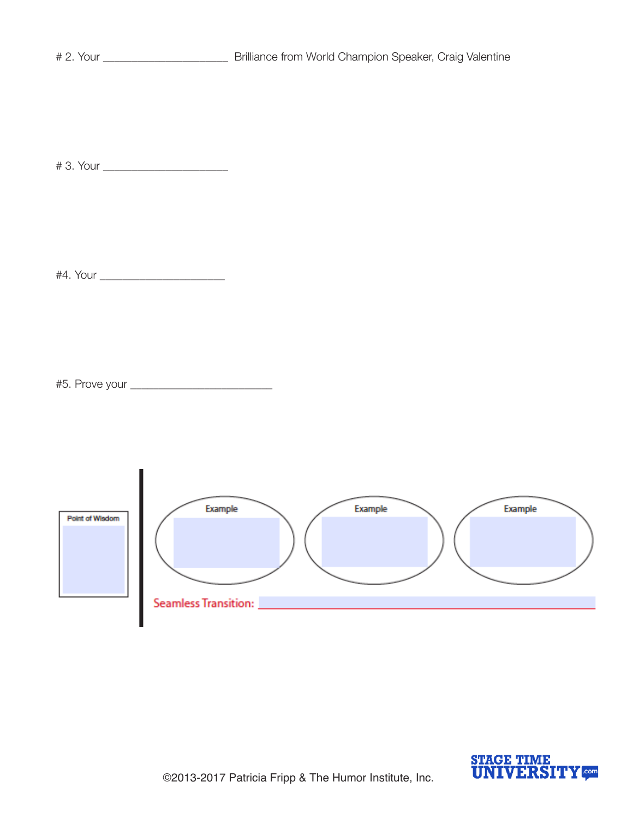# 3. Your \_\_\_\_\_\_\_\_\_\_\_\_\_\_\_\_\_\_\_\_\_\_

#4. Your \_\_\_\_\_\_\_\_\_\_\_\_\_\_\_\_\_\_\_\_\_\_

#5. Prove your \_\_\_\_\_\_\_\_\_\_\_\_\_\_\_\_\_\_\_\_\_\_\_\_\_



 $\blacksquare$ 

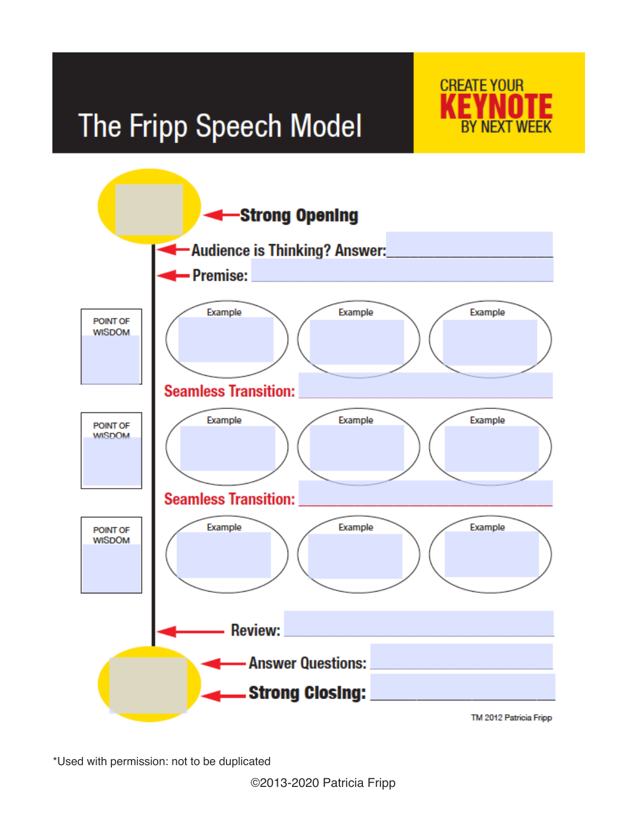## The Fripp Speech Model





\*Used with permission: not to be duplicated